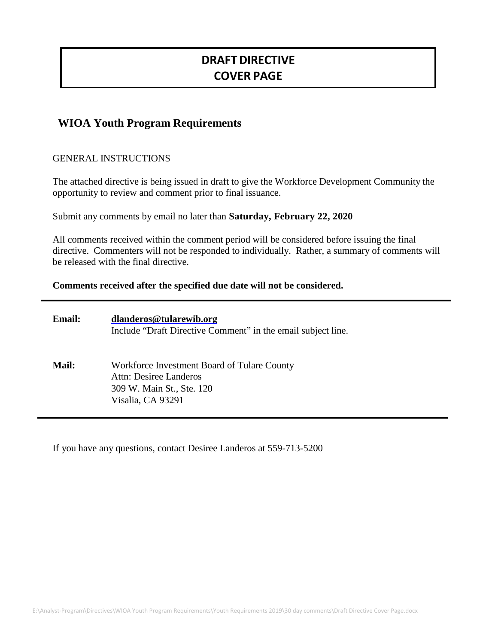# **DRAFTDIRECTIVE COVER PAGE**

## **WIOA Youth Program Requirements**

### GENERAL INSTRUCTIONS

The attached directive is being issued in draft to give the Workforce Development Community the opportunity to review and comment prior to final issuance.

Submit any comments by email no later than **Saturday, February 22, 2020**

All comments received within the comment period will be considered before issuing the final directive. Commenters will not be responded to individually. Rather, a summary of comments will be released with the final directive.

#### **Comments received after the specified due date will not be considered.**

| <b>Email:</b> | dlanderos@tularewib.org<br>Include "Draft Directive Comment" in the email subject line.                                 |
|---------------|-------------------------------------------------------------------------------------------------------------------------|
| <b>Mail:</b>  | Workforce Investment Board of Tulare County<br>Attn: Desiree Landeros<br>309 W. Main St., Ste. 120<br>Visalia, CA 93291 |

If you have any questions, contact Desiree Landeros at 559-713-5200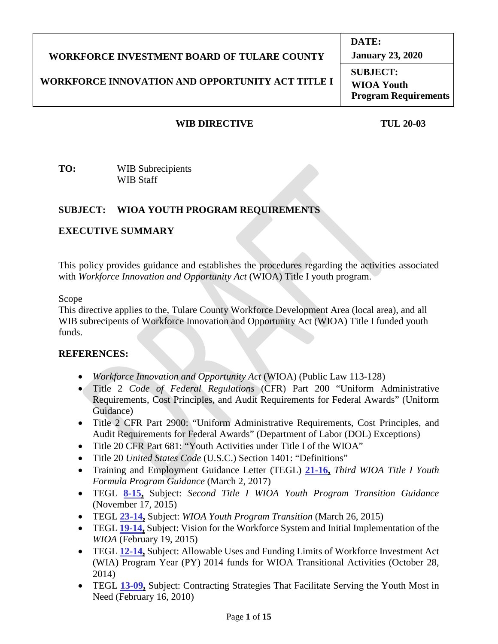#### **WORKFORCE INVESTMENT BOARD OF TULARE COUNTY WORKFORCE INNOVATION AND OPPORTUNITY ACT TITLE I DATE: January 23, 2020 SUBJECT: WIOA Youth Program Requirements**

## **WIB DIRECTIVE TUL 20-03**

**TO:** WIB Subrecipients WIB Staff

## **SUBJECT: WIOA YOUTH PROGRAM REQUIREMENTS**

## **EXECUTIVE SUMMARY**

This policy provides guidance and establishes the procedures regarding the activities associated with *Workforce Innovation and Opportunity Act* (WIOA) Title I youth program.

Scope

This directive applies to the, Tulare County Workforce Development Area (local area), and all WIB subrecipents of Workforce Innovation and Opportunity Act (WIOA) Title I funded youth funds.

## **REFERENCES:**

- *Workforce Innovation and Opportunity Act* (WIOA) (Public Law 113-128)
- Title 2 *Code of Federal Regulations* (CFR) Part 200 "Uniform Administrative Requirements, Cost Principles, and Audit Requirements for Federal Awards" (Uniform Guidance)
- Title 2 CFR Part 2900: "Uniform Administrative Requirements, Cost Principles, and Audit Requirements for Federal Awards" (Department of Labor (DOL) Exceptions)
- Title 20 CFR Part 681: "Youth Activities under Title I of the WIOA"
- Title 20 *United States Code* (U.S.C.) Section 1401: "Definitions"
- Training and Employment Guidance Letter (TEGL) **21-16,** *Third WIOA Title I Youth Formula Program Guidance* (March 2, 2017)
- TEGL **8-15,** Subject: *Second Title I WIOA Youth Program Transition Guidance* (November 17, 2015)
- TEGL **23-14,** Subject: *WIOA Youth Program Transition* (March 26, 2015)
- TEGL **19-14,** Subject: Vision for the Workforce System and Initial Implementation of the *WIOA* (February 19, 2015)
- TEGL **12-14,** Subject: Allowable Uses and Funding Limits of Workforce Investment Act (WIA) Program Year (PY) 2014 funds for WIOA Transitional Activities (October 28, 2014)
- TEGL **13-09,** Subject: Contracting Strategies That Facilitate Serving the Youth Most in Need (February 16, 2010)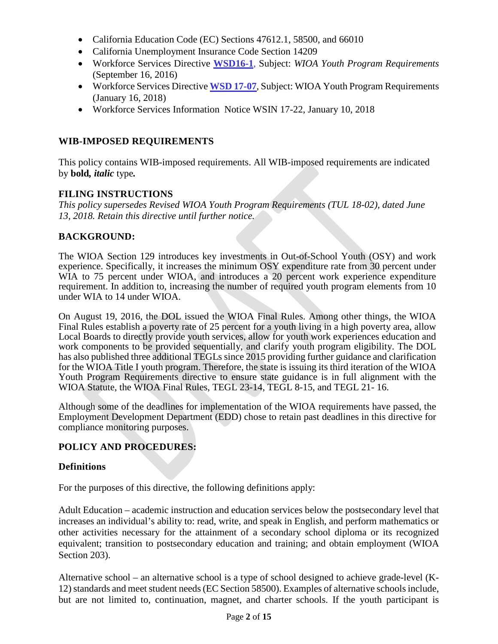- California Education Code (EC) Sections 47612.1, 58500, and 66010
- California Unemployment Insurance Code Section 14209
- Workforce Services Directive **WSD16-1**, Subject: *WIOA Youth Program Requirements*  (September 16, 2016)
- Workforce Services Directive **WSD 17-07**, Subject: WIOA Youth Program Requirements (January 16, 2018)
- Workforce Services Information Notice WSIN 17-22, January 10, 2018

## **WIB-IMPOSED REQUIREMENTS**

This policy contains WIB-imposed requirements. All WIB-imposed requirements are indicated by **bold***, italic* type*.*

## **FILING INSTRUCTIONS**

*This policy supersedes Revised WIOA Youth Program Requirements (TUL 18-02), dated June 13, 2018. Retain this directive until further notice.*

## **BACKGROUND:**

The WIOA Section 129 introduces key investments in Out-of-School Youth (OSY) and work experience. Specifically, it increases the minimum OSY expenditure rate from 30 percent under WIA to 75 percent under WIOA, and introduces a 20 percent work experience expenditure requirement. In addition to, increasing the number of required youth program elements from 10 under WIA to 14 under WIOA.

On August 19, 2016, the DOL issued the WIOA Final Rules. Among other things, the WIOA Final Rules establish a poverty rate of 25 percent for a youth living in a high poverty area, allow Local Boards to directly provide youth services, allow for youth work experiences education and work components to be provided sequentially, and clarify youth program eligibility. The DOL has also published three additional TEGLs since 2015 providing further guidance and clarification for the WIOA Title I youth program. Therefore, the state is issuing its third iteration of the WIOA Youth Program Requirements directive to ensure state guidance is in full alignment with the WIOA Statute, the WIOA Final Rules, TEGL 23-14, TEGL 8-15, and TEGL 21- 16.

Although some of the deadlines for implementation of the WIOA requirements have passed, the Employment Development Department (EDD) chose to retain past deadlines in this directive for compliance monitoring purposes.

## **POLICY AND PROCEDURES:**

## **Definitions**

For the purposes of this directive, the following definitions apply:

Adult Education – academic instruction and education services below the postsecondary level that increases an individual's ability to: read, write, and speak in English, and perform mathematics or other activities necessary for the attainment of a secondary school diploma or its recognized equivalent; transition to postsecondary education and training; and obtain employment (WIOA Section 203).

Alternative school – an alternative school is a type of school designed to achieve grade-level (K-12) standards and meet student needs (EC Section 58500). Examples of alternative schools include, but are not limited to, continuation, magnet, and charter schools. If the youth participant is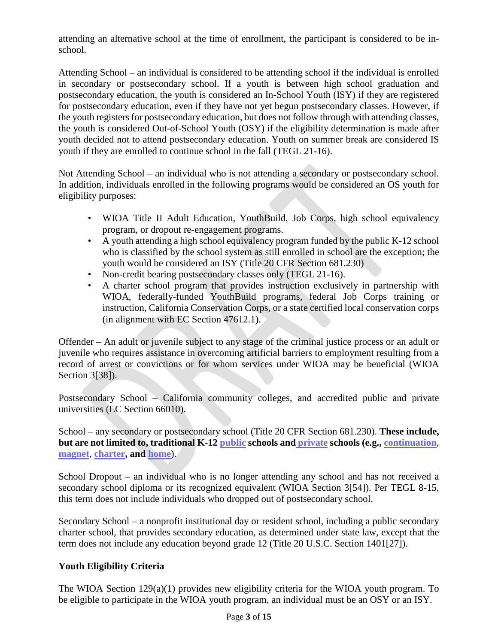attending an alternative school at the time of enrollment, the participant is considered to be inschool.

Attending School – an individual is considered to be attending school if the individual is enrolled in secondary or postsecondary school. If a youth is between high school graduation and postsecondary education, the youth is considered an In-School Youth (ISY) if they are registered for postsecondary education, even if they have not yet begun postsecondary classes. However, if the youth registers for postsecondary education, but does not follow through with attending classes, the youth is considered Out-of-School Youth (OSY) if the eligibility determination is made after youth decided not to attend postsecondary education. Youth on summer break are considered IS youth if they are enrolled to continue school in the fall (TEGL 21-16).

Not Attending School – an individual who is not attending a secondary or postsecondary school. In addition, individuals enrolled in the following programs would be considered an OS youth for eligibility purposes:

- WIOA Title II Adult Education, YouthBuild, Job Corps, high school equivalency program, or dropout re-engagement programs.
- A youth attending a high school equivalency program funded by the public K-12 school who is classified by the school system as still enrolled in school are the exception; the youth would be considered an ISY (Title 20 CFR Section 681.230)
- Non-credit bearing postsecondary classes only (TEGL 21-16).
- A charter school program that provides instruction exclusively in partnership with WIOA, federally-funded YouthBuild programs, federal Job Corps training or instruction, California Conservation Corps, or a state certified local conservation corps (in alignment with EC Section 47612.1).

Offender – An adult or juvenile subject to any stage of the criminal justice process or an adult or juvenile who requires assistance in overcoming artificial barriers to employment resulting from a record of arrest or convictions or for whom services under WIOA may be beneficial (WIOA Section 3[38]).

Postsecondary School – California community colleges, and accredited public and private universities (EC Section 66010).

School – any secondary or postsecondary school (Title 20 CFR Section 681.230). **These include, but are not limited to, traditional K-12 public schools and private schools (e.g., continuation**, **magnet**, **charter, and home**).

School Dropout – an individual who is no longer attending any school and has not received a secondary school diploma or its recognized equivalent (WIOA Section 3[54]). Per TEGL 8-15, this term does not include individuals who dropped out of postsecondary school.

Secondary School – a nonprofit institutional day or resident school, including a public secondary charter school, that provides secondary education, as determined under state law, except that the term does not include any education beyond grade 12 (Title 20 U.S.C. Section 1401[27]).

## **Youth Eligibility Criteria**

The WIOA Section 129(a)(1) provides new eligibility criteria for the WIOA youth program. To be eligible to participate in the WIOA youth program, an individual must be an OSY or an ISY.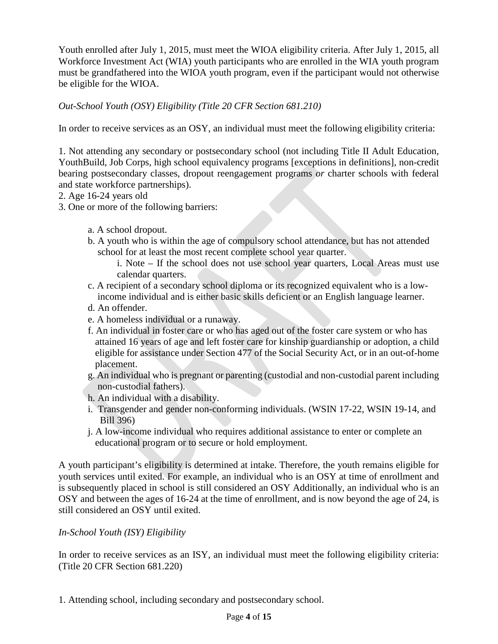Youth enrolled after July 1, 2015, must meet the WIOA eligibility criteria. After July 1, 2015, all Workforce Investment Act (WIA) youth participants who are enrolled in the WIA youth program must be grandfathered into the WIOA youth program, even if the participant would not otherwise be eligible for the WIOA.

*Out-School Youth (OSY) Eligibility (Title 20 CFR Section 681.210)*

In order to receive services as an OSY, an individual must meet the following eligibility criteria:

1. Not attending any secondary or postsecondary school (not including Title II Adult Education, YouthBuild, Job Corps, high school equivalency programs [exceptions in definitions], non-credit bearing postsecondary classes, dropout reengagement programs *or* charter schools with federal and state workforce partnerships).

2. Age 16-24 years old

- 3. One or more of the following barriers:
	- a. A school dropout.
	- b. A youth who is within the age of compulsory school attendance, but has not attended school for at least the most recent complete school year quarter.
		- i. Note If the school does not use school year quarters, Local Areas must use calendar quarters.
	- c. A recipient of a secondary school diploma or its recognized equivalent who is a low income individual and is either basic skills deficient or an English language learner.
	- d. An offender.
	- e. A homeless individual or a runaway.
	- f. An individual in foster care or who has aged out of the foster care system or who has attained 16 years of age and left foster care for kinship guardianship or adoption, a child eligible for assistance under Section 477 of the Social Security Act, or in an out-of-home placement.
	- g. An individual who is pregnant or parenting (custodial and non-custodial parent including non-custodial fathers).
	- h. An individual with a disability.
	- i. Transgender and gender non-conforming individuals. (WSIN 17-22, WSIN 19-14, and Bill 396)
	- j. A low-income individual who requires additional assistance to enter or complete an educational program or to secure or hold employment.

A youth participant's eligibility is determined at intake. Therefore, the youth remains eligible for youth services until exited. For example, an individual who is an OSY at time of enrollment and is subsequently placed in school is still considered an OSY Additionally, an individual who is an OSY and between the ages of 16-24 at the time of enrollment, and is now beyond the age of 24, is still considered an OSY until exited.

## *In-School Youth (ISY) Eligibility*

In order to receive services as an ISY, an individual must meet the following eligibility criteria: (Title 20 CFR Section 681.220)

1. Attending school, including secondary and postsecondary school.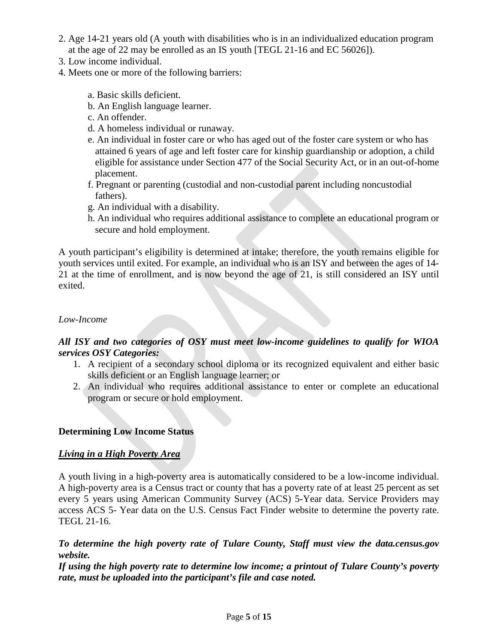- 2. Age 14-21 years old (A youth with disabilities who is in an individualized education program at the age of 22 may be enrolled as an IS youth [TEGL 21-16 and EC 56026]).
- 3. Low income individual.
- 4. Meets one or more of the following barriers:
	- a. Basic skills deficient.
	- b. An English language learner.
	- c. An offender.
	- d. A homeless individual or runaway.
	- e. An individual in foster care or who has aged out of the foster care system or who has attained 6 years of age and left foster care for kinship guardianship or adoption, a child eligible for assistance under Section 477 of the Social Security Act, or in an out-of-home placement.
	- f. Pregnant or parenting (custodial and non-custodial parent including noncustodial fathers).
	- g. An individual with a disability.
	- h. An individual who requires additional assistance to complete an educational program or secure and hold employment.

A youth participant's eligibility is determined at intake; therefore, the youth remains eligible for youth services until exited. For example, an individual who is an ISY and between the ages of 14- 21 at the time of enrollment, and is now beyond the age of 21, is still considered an ISY until exited.

#### *Low-Income*

## *All ISY and two categories of OSY must meet low-income guidelines to qualify for WIOA services OSY Categories:*

- 1. A recipient of a secondary school diploma or its recognized equivalent and either basic skills deficient or an English language learner; or
- 2. An individual who requires additional assistance to enter or complete an educational program or secure or hold employment.

#### **Determining Low Income Status**

#### *Living in a High Poverty Area*

A youth living in a high-poverty area is automatically considered to be a low-income individual. A high-poverty area is a Census tract or county that has a poverty rate of at least 25 percent as set every 5 years using American Community Survey (ACS) 5-Year data. Service Providers may access ACS 5- Year data on the U.S. Census Fact Finder website to determine the poverty rate. TEGL 21-16.

#### *To determine the high poverty rate of Tulare County, Staff must view the data.census.gov website.*

*If using the high poverty rate to determine low income; a printout of Tulare County's poverty rate, must be uploaded into the participant's file and case noted.*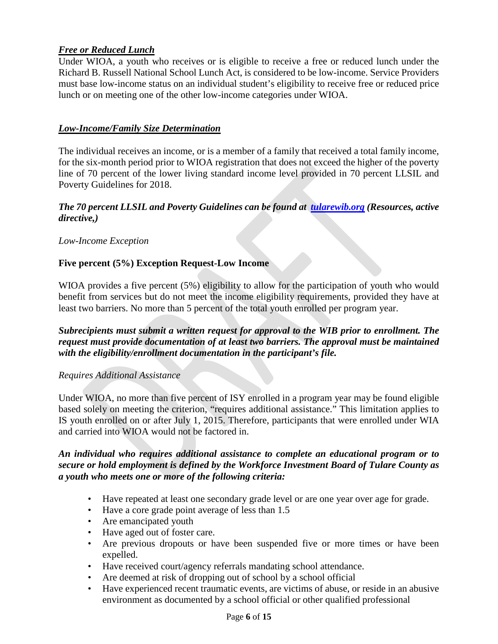## *Free or Reduced Lunch*

Under WIOA, a youth who receives or is eligible to receive a free or reduced lunch under the Richard B. Russell National School Lunch Act, is considered to be low-income. Service Providers must base low-income status on an individual student's eligibility to receive free or reduced price lunch or on meeting one of the other low-income categories under WIOA.

### *Low-Income/Family Size Determination*

The individual receives an income, or is a member of a family that received a total family income, for the six-month period prior to WIOA registration that does not exceed the higher of the poverty line of 70 percent of the lower living standard income level provided in 70 percent LLSIL and Poverty Guidelines for 2018.

#### *The 70 percent LLSIL and Poverty Guidelines can be found at [tularewib.org](https://d5e979eb-4b53-4726-836d-3aa319354959.filesusr.com/ugd/58cba3_69090b6244dc4e279bed0d4b283e2393.pdf) (Resources, active directive,)*

*Low-Income Exception*

### **Five percent (5%) Exception Request-Low Income**

WIOA provides a five percent (5%) eligibility to allow for the participation of youth who would benefit from services but do not meet the income eligibility requirements, provided they have at least two barriers. No more than 5 percent of the total youth enrolled per program year.

*Subrecipients must submit a written request for approval to the WIB prior to enrollment. The request must provide documentation of at least two barriers. The approval must be maintained with the eligibility/enrollment documentation in the participant's file.* 

#### *Requires Additional Assistance*

Under WIOA, no more than five percent of ISY enrolled in a program year may be found eligible based solely on meeting the criterion, "requires additional assistance." This limitation applies to IS youth enrolled on or after July 1, 2015. Therefore, participants that were enrolled under WIA and carried into WIOA would not be factored in.

#### *An individual who requires additional assistance to complete an educational program or to secure or hold employment is defined by the Workforce Investment Board of Tulare County as a youth who meets one or more of the following criteria:*

- Have repeated at least one secondary grade level or are one year over age for grade.
- Have a core grade point average of less than 1.5
- Are emancipated youth
- Have aged out of foster care.
- Are previous dropouts or have been suspended five or more times or have been expelled.
- Have received court/agency referrals mandating school attendance.
- Are deemed at risk of dropping out of school by a school official
- Have experienced recent traumatic events, are victims of abuse, or reside in an abusive environment as documented by a school official or other qualified professional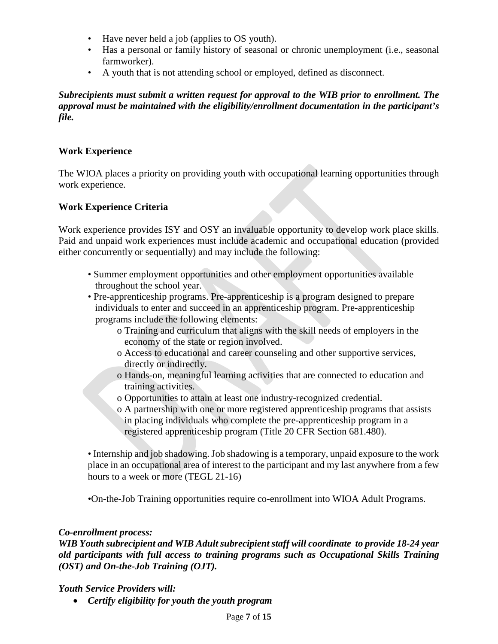- Have never held a job (applies to OS youth).
- Has a personal or family history of seasonal or chronic unemployment (i.e., seasonal farmworker).
- A youth that is not attending school or employed, defined as disconnect.

*Subrecipients must submit a written request for approval to the WIB prior to enrollment. The approval must be maintained with the eligibility/enrollment documentation in the participant's file.*

## **Work Experience**

The WIOA places a priority on providing youth with occupational learning opportunities through work experience.

## **Work Experience Criteria**

Work experience provides ISY and OSY an invaluable opportunity to develop work place skills. Paid and unpaid work experiences must include academic and occupational education (provided either concurrently or sequentially) and may include the following:

- Summer employment opportunities and other employment opportunities available throughout the school year.
- Pre-apprenticeship programs. Pre-apprenticeship is a program designed to prepare individuals to enter and succeed in an apprenticeship program. Pre-apprenticeship programs include the following elements:
	- o Training and curriculum that aligns with the skill needs of employers in the economy of the state or region involved.
	- o Access to educational and career counseling and other supportive services, directly or indirectly.
	- o Hands-on, meaningful learning activities that are connected to education and training activities.
	- o Opportunities to attain at least one industry-recognized credential.
	- o A partnership with one or more registered apprenticeship programs that assists in placing individuals who complete the pre-apprenticeship program in a registered apprenticeship program (Title 20 CFR Section 681.480).

• Internship and job shadowing. Job shadowing is a temporary, unpaid exposure to the work place in an occupational area of interest to the participant and my last anywhere from a few hours to a week or more (TEGL 21-16)

•On-the-Job Training opportunities require co-enrollment into WIOA Adult Programs.

## *Co-enrollment process:*

*WIB Youth subrecipient and WIB Adult subrecipient staff will coordinate to provide 18-24 year old participants with full access to training programs such as Occupational Skills Training (OST) and On-the-Job Training (OJT).* 

*Youth Service Providers will:*

• *Certify eligibility for youth the youth program*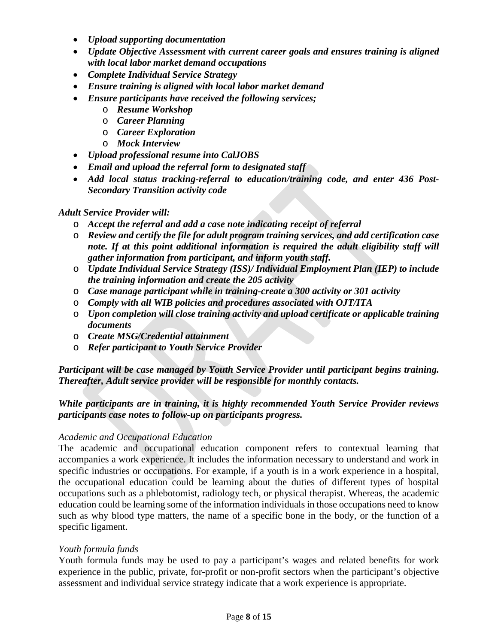- *Upload supporting documentation*
- *Update Objective Assessment with current career goals and ensures training is aligned with local labor market demand occupations*
- *Complete Individual Service Strategy*
- *Ensure training is aligned with local labor market demand*
- *Ensure participants have received the following services;*
	- o *Resume Workshop*
	- o *Career Planning*
	- o *Career Exploration*
	- o *Mock Interview*
- *Upload professional resume into CalJOBS*
- *Email and upload the referral form to designated staff*
- *Add local status tracking-referral to education/training code, and enter 436 Post-Secondary Transition activity code*

## *Adult Service Provider will:*

- o *Accept the referral and add a case note indicating receipt of referral*
- o *Review and certify the file for adult program training services, and add certification case note. If at this point additional information is required the adult eligibility staff will gather information from participant, and inform youth staff.*
- o *Update Individual Service Strategy (ISS)/ Individual Employment Plan (IEP) to include the training information and create the 205 activity*
- o *Case manage participant while in training-create a 300 activity or 301 activity*
- o *Comply with all WIB policies and procedures associated with OJT/ITA*
- o *Upon completion will close training activity and upload certificate or applicable training documents*
- o *Create MSG/Credential attainment*
- o *Refer participant to Youth Service Provider*

*Participant will be case managed by Youth Service Provider until participant begins training. Thereafter, Adult service provider will be responsible for monthly contacts.*

## *While participants are in training, it is highly recommended Youth Service Provider reviews participants case notes to follow-up on participants progress.*

## *Academic and Occupational Education*

The academic and occupational education component refers to contextual learning that accompanies a work experience. It includes the information necessary to understand and work in specific industries or occupations. For example, if a youth is in a work experience in a hospital, the occupational education could be learning about the duties of different types of hospital occupations such as a phlebotomist, radiology tech, or physical therapist. Whereas, the academic education could be learning some of the information individuals in those occupations need to know such as why blood type matters, the name of a specific bone in the body, or the function of a specific ligament.

## *Youth formula funds*

Youth formula funds may be used to pay a participant's wages and related benefits for work experience in the public, private, for-profit or non-profit sectors when the participant's objective assessment and individual service strategy indicate that a work experience is appropriate.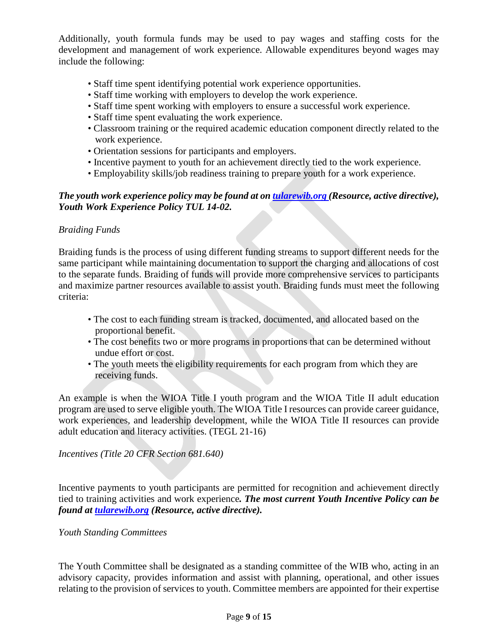Additionally, youth formula funds may be used to pay wages and staffing costs for the development and management of work experience. Allowable expenditures beyond wages may include the following:

- Staff time spent identifying potential work experience opportunities.
- Staff time working with employers to develop the work experience.
- Staff time spent working with employers to ensure a successful work experience.
- Staff time spent evaluating the work experience.
- Classroom training or the required academic education component directly related to the work experience.
- Orientation sessions for participants and employers.
- Incentive payment to youth for an achievement directly tied to the work experience.
- Employability skills/job readiness training to prepare youth for a work experience.

## *The youth work experience policy may be found at on [tularewib.org](https://d5e979eb-4b53-4726-836d-3aa319354959.filesusr.com/ugd/58cba3_578f9e6a01e741df8be0034799622d5a.pdf) (Resource, active directive), Youth Work Experience Policy TUL 14-02.*

### *Braiding Funds*

Braiding funds is the process of using different funding streams to support different needs for the same participant while maintaining documentation to support the charging and allocations of cost to the separate funds. Braiding of funds will provide more comprehensive services to participants and maximize partner resources available to assist youth. Braiding funds must meet the following criteria:

- The cost to each funding stream is tracked, documented, and allocated based on the proportional benefit.
- The cost benefits two or more programs in proportions that can be determined without undue effort or cost.
- The youth meets the eligibility requirements for each program from which they are receiving funds.

An example is when the WIOA Title I youth program and the WIOA Title II adult education program are used to serve eligible youth. The WIOA Title I resources can provide career guidance, work experiences, and leadership development, while the WIOA Title II resources can provide adult education and literacy activities. (TEGL 21-16)

*Incentives (Title 20 CFR Section 681.640)*

Incentive payments to youth participants are permitted for recognition and achievement directly tied to training activities and work experience*. The most current Youth Incentive Policy can be found at [tularewib.org](https://d5e979eb-4b53-4726-836d-3aa319354959.filesusr.com/ugd/58cba3_383d2d7549944af4a77f031d9703f6f1.pdf) (Resource, active directive).*

#### *Youth Standing Committees*

The Youth Committee shall be designated as a standing committee of the WIB who, acting in an advisory capacity, provides information and assist with planning, operational, and other issues relating to the provision of services to youth. Committee members are appointed for their expertise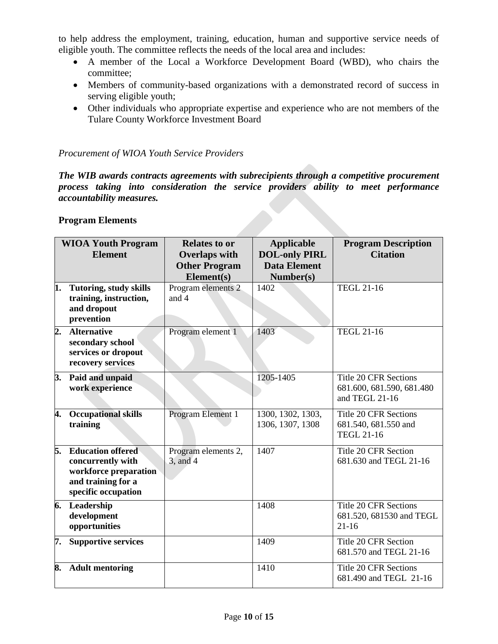to help address the employment, training, education, human and supportive service needs of eligible youth. The committee reflects the needs of the local area and includes:

- A member of the Local a Workforce Development Board (WBD), who chairs the committee;
- Members of community-based organizations with a demonstrated record of success in serving eligible youth;
- Other individuals who appropriate expertise and experience who are not members of the Tulare County Workforce Investment Board

#### *Procurement of WIOA Youth Service Providers*

*The WIB awards contracts agreements with subrecipients through a competitive procurement process taking into consideration the service providers ability to meet performance accountability measures.* 

#### **Program Elements**

| <b>WIOA Youth Program</b> |                                                                                                                     | <b>Relates to or</b>                 | <b>Applicable</b>                           | <b>Program Description</b>                                                  |
|---------------------------|---------------------------------------------------------------------------------------------------------------------|--------------------------------------|---------------------------------------------|-----------------------------------------------------------------------------|
|                           | <b>Element</b>                                                                                                      | <b>Overlaps with</b>                 | <b>DOL-only PIRL</b><br><b>Data Element</b> | <b>Citation</b>                                                             |
|                           |                                                                                                                     | <b>Other Program</b><br>Element(s)   | Number(s)                                   |                                                                             |
| 1.                        | <b>Tutoring, study skills</b><br>training, instruction,<br>and dropout<br>prevention                                | Program elements 2<br>and 4          | 1402                                        | <b>TEGL 21-16</b>                                                           |
| 2.                        | <b>Alternative</b><br>secondary school<br>services or dropout<br>recovery services                                  | Program element 1                    | 1403                                        | TEGL 21-16                                                                  |
| 3.                        | Paid and unpaid<br>work experience                                                                                  |                                      | 1205-1405                                   | <b>Title 20 CFR Sections</b><br>681.600, 681.590, 681.480<br>and TEGL 21-16 |
| 4.                        | <b>Occupational skills</b><br>training                                                                              | Program Element 1                    | 1300, 1302, 1303,<br>1306, 1307, 1308       | <b>Title 20 CFR Sections</b><br>681.540, 681.550 and<br><b>TEGL 21-16</b>   |
| 5.                        | <b>Education offered</b><br>concurrently with<br>workforce preparation<br>and training for a<br>specific occupation | Program elements 2,<br>$3$ , and $4$ | 1407                                        | Title 20 CFR Section<br>681.630 and TEGL 21-16                              |
| б.                        | Leadership<br>development<br>opportunities                                                                          |                                      | 1408                                        | <b>Title 20 CFR Sections</b><br>681.520, 681530 and TEGL<br>$21-16$         |
| 7.                        | <b>Supportive services</b>                                                                                          |                                      | 1409                                        | Title 20 CFR Section<br>681.570 and TEGL 21-16                              |
| 8.                        | <b>Adult mentoring</b>                                                                                              |                                      | 1410                                        | <b>Title 20 CFR Sections</b><br>681.490 and TEGL 21-16                      |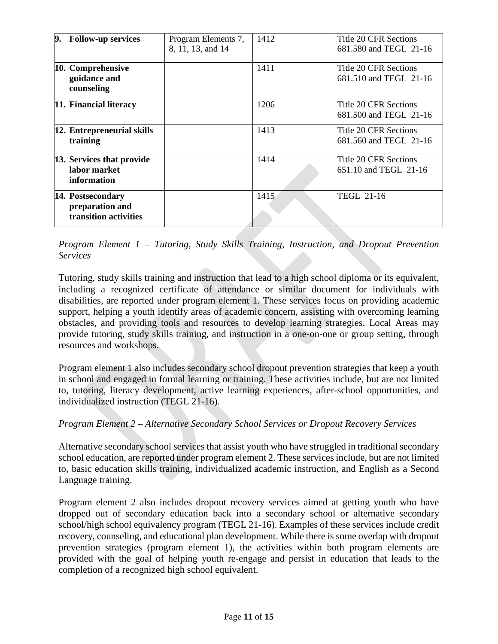| 9. | <b>Follow-up services</b>                                     | Program Elements 7,<br>8, 11, 13, and 14 | 1412 | Title 20 CFR Sections<br>681.580 and TEGL 21-16 |
|----|---------------------------------------------------------------|------------------------------------------|------|-------------------------------------------------|
|    | 10. Comprehensive<br>guidance and<br>counseling               |                                          | 1411 | Title 20 CFR Sections<br>681.510 and TEGL 21-16 |
|    | 11. Financial literacy                                        |                                          | 1206 | Title 20 CFR Sections<br>681.500 and TEGL 21-16 |
|    | 12. Entrepreneurial skills<br>training                        |                                          | 1413 | Title 20 CFR Sections<br>681.560 and TEGL 21-16 |
|    | 13. Services that provide<br>labor market<br>information      |                                          | 1414 | Title 20 CFR Sections<br>651.10 and TEGL 21-16  |
|    | 14. Postsecondary<br>preparation and<br>transition activities |                                          | 1415 | <b>TEGL 21-16</b>                               |

*Program Element 1 – Tutoring, Study Skills Training, Instruction, and Dropout Prevention Services* 

Tutoring, study skills training and instruction that lead to a high school diploma or its equivalent, including a recognized certificate of attendance or similar document for individuals with disabilities, are reported under program element 1. These services focus on providing academic support, helping a youth identify areas of academic concern, assisting with overcoming learning obstacles, and providing tools and resources to develop learning strategies. Local Areas may provide tutoring, study skills training, and instruction in a one-on-one or group setting, through resources and workshops.

Program element 1 also includes secondary school dropout prevention strategies that keep a youth in school and engaged in formal learning or training. These activities include, but are not limited to, tutoring, literacy development, active learning experiences, after-school opportunities, and individualized instruction (TEGL 21-16).

## *Program Element 2 – Alternative Secondary School Services or Dropout Recovery Services*

Alternative secondary school services that assist youth who have struggled in traditional secondary school education, are reported under program element 2. These services include, but are not limited to, basic education skills training, individualized academic instruction, and English as a Second Language training.

Program element 2 also includes dropout recovery services aimed at getting youth who have dropped out of secondary education back into a secondary school or alternative secondary school/high school equivalency program (TEGL 21-16). Examples of these services include credit recovery, counseling, and educational plan development. While there is some overlap with dropout prevention strategies (program element 1), the activities within both program elements are provided with the goal of helping youth re-engage and persist in education that leads to the completion of a recognized high school equivalent.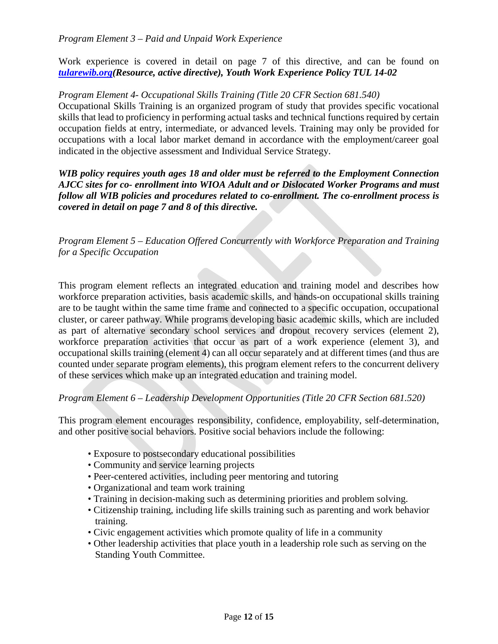Work experience is covered in detail on page 7 of this directive, and can be found on *[tularewib.org\(](https://d5e979eb-4b53-4726-836d-3aa319354959.filesusr.com/ugd/58cba3_578f9e6a01e741df8be0034799622d5a.pdf)Resource, active directive), Youth Work Experience Policy TUL 14-02*

*Program Element 4- Occupational Skills Training (Title 20 CFR Section 681.540)*

Occupational Skills Training is an organized program of study that provides specific vocational skills that lead to proficiency in performing actual tasks and technical functions required by certain occupation fields at entry, intermediate, or advanced levels. Training may only be provided for occupations with a local labor market demand in accordance with the employment/career goal indicated in the objective assessment and Individual Service Strategy.

*WIB policy requires youth ages 18 and older must be referred to the Employment Connection AJCC sites for co- enrollment into WIOA Adult and or Dislocated Worker Programs and must follow all WIB policies and procedures related to co-enrollment. The co-enrollment process is covered in detail on page 7 and 8 of this directive.* 

*Program Element 5 – Education Offered Concurrently with Workforce Preparation and Training for a Specific Occupation*

This program element reflects an integrated education and training model and describes how workforce preparation activities, basis academic skills, and hands-on occupational skills training are to be taught within the same time frame and connected to a specific occupation, occupational cluster, or career pathway. While programs developing basic academic skills, which are included as part of alternative secondary school services and dropout recovery services (element 2), workforce preparation activities that occur as part of a work experience (element 3), and occupational skills training (element 4) can all occur separately and at different times (and thus are counted under separate program elements), this program element refers to the concurrent delivery of these services which make up an integrated education and training model.

## *Program Element 6 – Leadership Development Opportunities (Title 20 CFR Section 681.520)*

This program element encourages responsibility, confidence, employability, self-determination, and other positive social behaviors. Positive social behaviors include the following:

- Exposure to postsecondary educational possibilities
- Community and service learning projects
- Peer-centered activities, including peer mentoring and tutoring
- Organizational and team work training
- Training in decision-making such as determining priorities and problem solving.
- Citizenship training, including life skills training such as parenting and work behavior training.
- Civic engagement activities which promote quality of life in a community
- Other leadership activities that place youth in a leadership role such as serving on the Standing Youth Committee.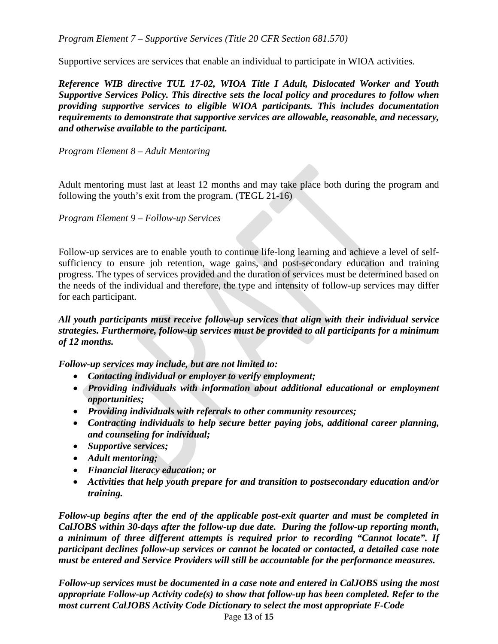*Program Element 7 – Supportive Services (Title 20 CFR Section 681.570)*

Supportive services are services that enable an individual to participate in WIOA activities.

*Reference WIB directive TUL 17-02, WIOA Title I Adult, Dislocated Worker and Youth Supportive Services Policy. This directive sets the local policy and procedures to follow when providing supportive services to eligible WIOA participants. This includes documentation requirements to demonstrate that supportive services are allowable, reasonable, and necessary, and otherwise available to the participant.* 

*Program Element 8 – Adult Mentoring*

Adult mentoring must last at least 12 months and may take place both during the program and following the youth's exit from the program. (TEGL 21-16)

*Program Element 9 – Follow-up Services*

Follow-up services are to enable youth to continue life-long learning and achieve a level of selfsufficiency to ensure job retention, wage gains, and post-secondary education and training progress. The types of services provided and the duration of services must be determined based on the needs of the individual and therefore, the type and intensity of follow-up services may differ for each participant.

*All youth participants must receive follow-up services that align with their individual service strategies. Furthermore, follow-up services must be provided to all participants for a minimum of 12 months.* 

*Follow-up services may include, but are not limited to:*

- *Contacting individual or employer to verify employment;*
- *Providing individuals with information about additional educational or employment opportunities;*
- *Providing individuals with referrals to other community resources;*
- *Contracting individuals to help secure better paying jobs, additional career planning, and counseling for individual;*
- *Supportive services;*
- *Adult mentoring;*
- *Financial literacy education; or*
- *Activities that help youth prepare for and transition to postsecondary education and/or training.*

*Follow-up begins after the end of the applicable post-exit quarter and must be completed in CalJOBS within 30-days after the follow-up due date. During the follow-up reporting month, a minimum of three different attempts is required prior to recording "Cannot locate". If participant declines follow-up services or cannot be located or contacted, a detailed case note must be entered and Service Providers will still be accountable for the performance measures.* 

Page **13** of **15** *Follow-up services must be documented in a case note and entered in CalJOBS using the most appropriate Follow-up Activity code(s) to show that follow-up has been completed. Refer to the most current CalJOBS Activity Code Dictionary to select the most appropriate F-Code*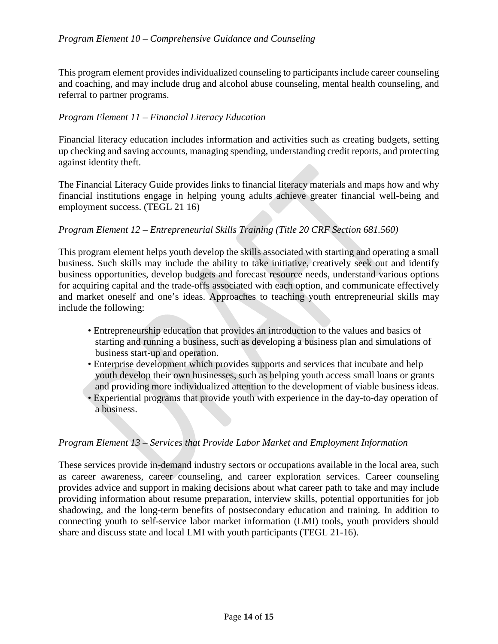#### *Program Element 10 – Comprehensive Guidance and Counseling*

This program element provides individualized counseling to participants include career counseling and coaching, and may include drug and alcohol abuse counseling, mental health counseling, and referral to partner programs.

#### *Program Element 11 – Financial Literacy Education*

Financial literacy education includes information and activities such as creating budgets, setting up checking and saving accounts, managing spending, understanding credit reports, and protecting against identity theft.

The Financial Literacy Guide provides links to financial literacy materials and maps how and why financial institutions engage in helping young adults achieve greater financial well-being and employment success. (TEGL 21 16)

### *Program Element 12 – Entrepreneurial Skills Training (Title 20 CRF Section 681.560)*

This program element helps youth develop the skills associated with starting and operating a small business. Such skills may include the ability to take initiative, creatively seek out and identify business opportunities, develop budgets and forecast resource needs, understand various options for acquiring capital and the trade-offs associated with each option, and communicate effectively and market oneself and one's ideas. Approaches to teaching youth entrepreneurial skills may include the following:

- Entrepreneurship education that provides an introduction to the values and basics of starting and running a business, such as developing a business plan and simulations of business start-up and operation.
- Enterprise development which provides supports and services that incubate and help youth develop their own businesses, such as helping youth access small loans or grants and providing more individualized attention to the development of viable business ideas.
- Experiential programs that provide youth with experience in the day-to-day operation of a business.

#### *Program Element 13 – Services that Provide Labor Market and Employment Information*

These services provide in-demand industry sectors or occupations available in the local area, such as career awareness, career counseling, and career exploration services. Career counseling provides advice and support in making decisions about what career path to take and may include providing information about resume preparation, interview skills, potential opportunities for job shadowing, and the long-term benefits of postsecondary education and training. In addition to connecting youth to self-service labor market information (LMI) tools, youth providers should share and discuss state and local LMI with youth participants (TEGL 21-16).